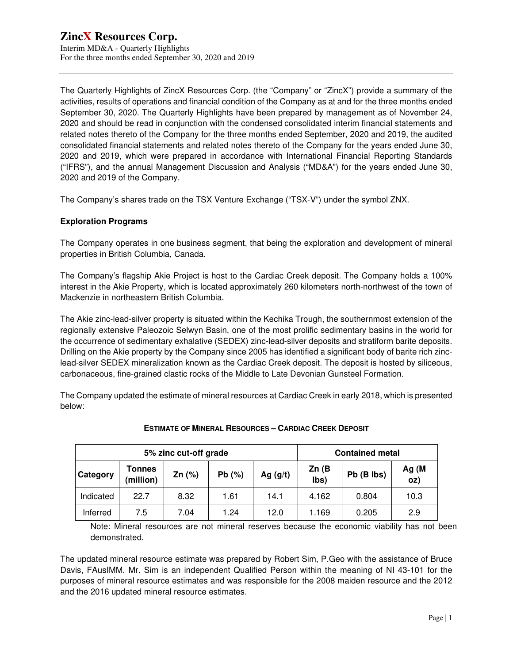The Quarterly Highlights of ZincX Resources Corp. (the "Company" or "ZincX") provide a summary of the activities, results of operations and financial condition of the Company as at and for the three months ended September 30, 2020. The Quarterly Highlights have been prepared by management as of November 24, 2020 and should be read in conjunction with the condensed consolidated interim financial statements and related notes thereto of the Company for the three months ended September, 2020 and 2019, the audited consolidated financial statements and related notes thereto of the Company for the years ended June 30, 2020 and 2019, which were prepared in accordance with International Financial Reporting Standards ("IFRS"), and the annual Management Discussion and Analysis ("MD&A") for the years ended June 30, 2020 and 2019 of the Company.

The Company's shares trade on the TSX Venture Exchange ("TSX-V") under the symbol ZNX.

## **Exploration Programs**

The Company operates in one business segment, that being the exploration and development of mineral properties in British Columbia, Canada.

The Company's flagship Akie Project is host to the Cardiac Creek deposit. The Company holds a 100% interest in the Akie Property, which is located approximately 260 kilometers north-northwest of the town of Mackenzie in northeastern British Columbia.

The Akie zinc-lead-silver property is situated within the Kechika Trough, the southernmost extension of the regionally extensive Paleozoic Selwyn Basin, one of the most prolific sedimentary basins in the world for the occurrence of sedimentary exhalative (SEDEX) zinc-lead-silver deposits and stratiform barite deposits. Drilling on the Akie property by the Company since 2005 has identified a significant body of barite rich zinclead-silver SEDEX mineralization known as the Cardiac Creek deposit. The deposit is hosted by siliceous, carbonaceous, fine-grained clastic rocks of the Middle to Late Devonian Gunsteel Formation.

The Company updated the estimate of mineral resources at Cardiac Creek in early 2018, which is presented below:

| 5% zinc cut-off grade |                     |          |       |            | <b>Contained metal</b> |            |              |  |
|-----------------------|---------------------|----------|-------|------------|------------------------|------------|--------------|--|
| Category              | Tonnes<br>(million) | Zn $(%)$ | Pb(%) | Ag $(g/t)$ | Zn(B)<br>lbs)          | Pb (B lbs) | Ag (M<br>oz) |  |
| Indicated             | 22.7                | 8.32     | 1.61  | 14.1       | 4.162                  | 0.804      | 10.3         |  |
| Inferred              | 7.5                 | 7.04     | 1.24  | 12.0       | 1.169                  | 0.205      | 2.9          |  |

## **ESTIMATE OF MINERAL RESOURCES – CARDIAC CREEK DEPOSIT**

Note: Mineral resources are not mineral reserves because the economic viability has not been demonstrated.

The updated mineral resource estimate was prepared by Robert Sim, P.Geo with the assistance of Bruce Davis, FAusIMM. Mr. Sim is an independent Qualified Person within the meaning of NI 43-101 for the purposes of mineral resource estimates and was responsible for the 2008 maiden resource and the 2012 and the 2016 updated mineral resource estimates.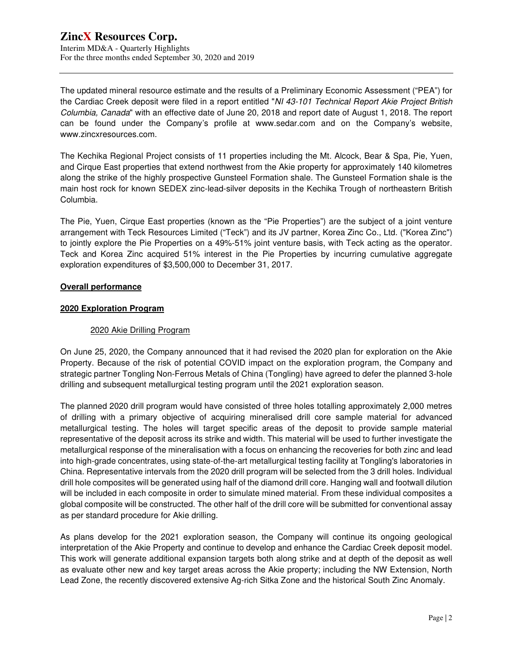The updated mineral resource estimate and the results of a Preliminary Economic Assessment ("PEA") for the Cardiac Creek deposit were filed in a report entitled "NI 43-101 Technical Report Akie Project British Columbia, Canada" with an effective date of June 20, 2018 and report date of August 1, 2018. The report can be found under the Company's profile at www.sedar.com and on the Company's website, www.zincxresources.com.

The Kechika Regional Project consists of 11 properties including the Mt. Alcock, Bear & Spa, Pie, Yuen, and Cirque East properties that extend northwest from the Akie property for approximately 140 kilometres along the strike of the highly prospective Gunsteel Formation shale. The Gunsteel Formation shale is the main host rock for known SEDEX zinc-lead-silver deposits in the Kechika Trough of northeastern British Columbia.

The Pie, Yuen, Cirque East properties (known as the "Pie Properties") are the subject of a joint venture arrangement with Teck Resources Limited ("Teck") and its JV partner, Korea Zinc Co., Ltd. ("Korea Zinc") to jointly explore the Pie Properties on a 49%-51% joint venture basis, with Teck acting as the operator. Teck and Korea Zinc acquired 51% interest in the Pie Properties by incurring cumulative aggregate exploration expenditures of \$3,500,000 to December 31, 2017.

#### **Overall performance**

#### **2020 Exploration Program**

#### 2020 Akie Drilling Program

On June 25, 2020, the Company announced that it had revised the 2020 plan for exploration on the Akie Property. Because of the risk of potential COVID impact on the exploration program, the Company and strategic partner Tongling Non-Ferrous Metals of China (Tongling) have agreed to defer the planned 3-hole drilling and subsequent metallurgical testing program until the 2021 exploration season.

The planned 2020 drill program would have consisted of three holes totalling approximately 2,000 metres of drilling with a primary objective of acquiring mineralised drill core sample material for advanced metallurgical testing. The holes will target specific areas of the deposit to provide sample material representative of the deposit across its strike and width. This material will be used to further investigate the metallurgical response of the mineralisation with a focus on enhancing the recoveries for both zinc and lead into high-grade concentrates, using state-of-the-art metallurgical testing facility at Tongling's laboratories in China. Representative intervals from the 2020 drill program will be selected from the 3 drill holes. Individual drill hole composites will be generated using half of the diamond drill core. Hanging wall and footwall dilution will be included in each composite in order to simulate mined material. From these individual composites a global composite will be constructed. The other half of the drill core will be submitted for conventional assay as per standard procedure for Akie drilling.

As plans develop for the 2021 exploration season, the Company will continue its ongoing geological interpretation of the Akie Property and continue to develop and enhance the Cardiac Creek deposit model. This work will generate additional expansion targets both along strike and at depth of the deposit as well as evaluate other new and key target areas across the Akie property; including the NW Extension, North Lead Zone, the recently discovered extensive Ag-rich Sitka Zone and the historical South Zinc Anomaly.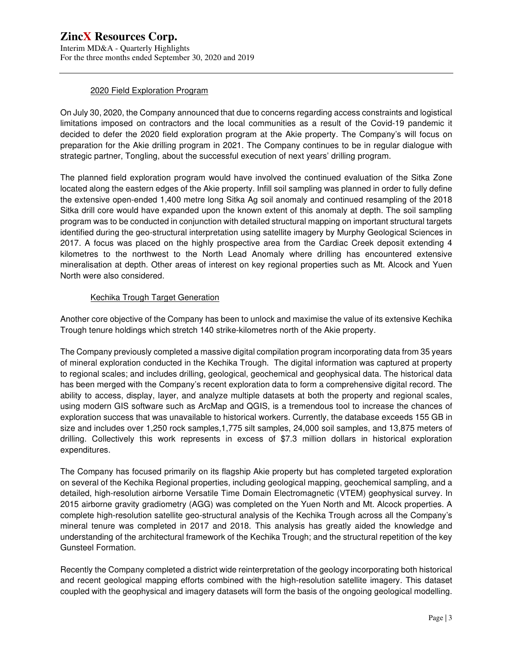Interim MD&A - Quarterly Highlights For the three months ended September 30, 2020 and 2019

## 2020 Field Exploration Program

On July 30, 2020, the Company announced that due to concerns regarding access constraints and logistical limitations imposed on contractors and the local communities as a result of the Covid-19 pandemic it decided to defer the 2020 field exploration program at the Akie property. The Company's will focus on preparation for the Akie drilling program in 2021. The Company continues to be in regular dialogue with strategic partner, Tongling, about the successful execution of next years' drilling program.

The planned field exploration program would have involved the continued evaluation of the Sitka Zone located along the eastern edges of the Akie property. Infill soil sampling was planned in order to fully define the extensive open-ended 1,400 metre long Sitka Ag soil anomaly and continued resampling of the 2018 Sitka drill core would have expanded upon the known extent of this anomaly at depth. The soil sampling program was to be conducted in conjunction with detailed structural mapping on important structural targets identified during the geo-structural interpretation using satellite imagery by Murphy Geological Sciences in 2017. A focus was placed on the highly prospective area from the Cardiac Creek deposit extending 4 kilometres to the northwest to the North Lead Anomaly where drilling has encountered extensive mineralisation at depth. Other areas of interest on key regional properties such as Mt. Alcock and Yuen North were also considered.

## Kechika Trough Target Generation

Another core objective of the Company has been to unlock and maximise the value of its extensive Kechika Trough tenure holdings which stretch 140 strike-kilometres north of the Akie property.

The Company previously completed a massive digital compilation program incorporating data from 35 years of mineral exploration conducted in the Kechika Trough. The digital information was captured at property to regional scales; and includes drilling, geological, geochemical and geophysical data. The historical data has been merged with the Company's recent exploration data to form a comprehensive digital record. The ability to access, display, layer, and analyze multiple datasets at both the property and regional scales, using modern GIS software such as ArcMap and QGIS, is a tremendous tool to increase the chances of exploration success that was unavailable to historical workers. Currently, the database exceeds 155 GB in size and includes over 1,250 rock samples,1,775 silt samples, 24,000 soil samples, and 13,875 meters of drilling. Collectively this work represents in excess of \$7.3 million dollars in historical exploration expenditures.

The Company has focused primarily on its flagship Akie property but has completed targeted exploration on several of the Kechika Regional properties, including geological mapping, geochemical sampling, and a detailed, high-resolution airborne Versatile Time Domain Electromagnetic (VTEM) geophysical survey. In 2015 airborne gravity gradiometry (AGG) was completed on the Yuen North and Mt. Alcock properties. A complete high-resolution satellite geo-structural analysis of the Kechika Trough across all the Company's mineral tenure was completed in 2017 and 2018. This analysis has greatly aided the knowledge and understanding of the architectural framework of the Kechika Trough; and the structural repetition of the key Gunsteel Formation.

Recently the Company completed a district wide reinterpretation of the geology incorporating both historical and recent geological mapping efforts combined with the high-resolution satellite imagery. This dataset coupled with the geophysical and imagery datasets will form the basis of the ongoing geological modelling.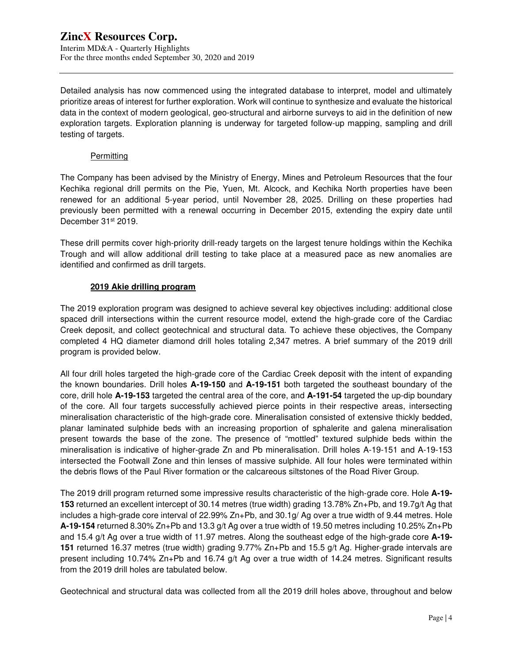Interim MD&A - Quarterly Highlights For the three months ended September 30, 2020 and 2019

Detailed analysis has now commenced using the integrated database to interpret, model and ultimately prioritize areas of interest for further exploration. Work will continue to synthesize and evaluate the historical data in the context of modern geological, geo-structural and airborne surveys to aid in the definition of new exploration targets. Exploration planning is underway for targeted follow-up mapping, sampling and drill testing of targets.

#### **Permitting**

The Company has been advised by the Ministry of Energy, Mines and Petroleum Resources that the four Kechika regional drill permits on the Pie, Yuen, Mt. Alcock, and Kechika North properties have been renewed for an additional 5-year period, until November 28, 2025. Drilling on these properties had previously been permitted with a renewal occurring in December 2015, extending the expiry date until December 31st 2019.

These drill permits cover high-priority drill-ready targets on the largest tenure holdings within the Kechika Trough and will allow additional drill testing to take place at a measured pace as new anomalies are identified and confirmed as drill targets.

## **2019 Akie drilling program**

The 2019 exploration program was designed to achieve several key objectives including: additional close spaced drill intersections within the current resource model, extend the high-grade core of the Cardiac Creek deposit, and collect geotechnical and structural data. To achieve these objectives, the Company completed 4 HQ diameter diamond drill holes totaling 2,347 metres. A brief summary of the 2019 drill program is provided below.

All four drill holes targeted the high-grade core of the Cardiac Creek deposit with the intent of expanding the known boundaries. Drill holes **A-19-150** and **A-19-151** both targeted the southeast boundary of the core, drill hole **A-19-153** targeted the central area of the core, and **A-191-54** targeted the up-dip boundary of the core. All four targets successfully achieved pierce points in their respective areas, intersecting mineralisation characteristic of the high-grade core. Mineralisation consisted of extensive thickly bedded, planar laminated sulphide beds with an increasing proportion of sphalerite and galena mineralisation present towards the base of the zone. The presence of "mottled" textured sulphide beds within the mineralisation is indicative of higher-grade Zn and Pb mineralisation. Drill holes A-19-151 and A-19-153 intersected the Footwall Zone and thin lenses of massive sulphide. All four holes were terminated within the debris flows of the Paul River formation or the calcareous siltstones of the Road River Group.

The 2019 drill program returned some impressive results characteristic of the high-grade core. Hole **A-19- 153** returned an excellent intercept of 30.14 metres (true width) grading 13.78% Zn+Pb, and 19.7g/t Ag that includes a high-grade core interval of 22.99% Zn+Pb, and 30.1g/ Ag over a true width of 9.44 metres. Hole **A-19-154** returned 8.30% Zn+Pb and 13.3 g/t Ag over a true width of 19.50 metres including 10.25% Zn+Pb and 15.4 g/t Ag over a true width of 11.97 metres. Along the southeast edge of the high-grade core **A-19- 151** returned 16.37 metres (true width) grading 9.77% Zn+Pb and 15.5 g/t Ag. Higher-grade intervals are present including 10.74% Zn+Pb and 16.74 g/t Ag over a true width of 14.24 metres. Significant results from the 2019 drill holes are tabulated below.

Geotechnical and structural data was collected from all the 2019 drill holes above, throughout and below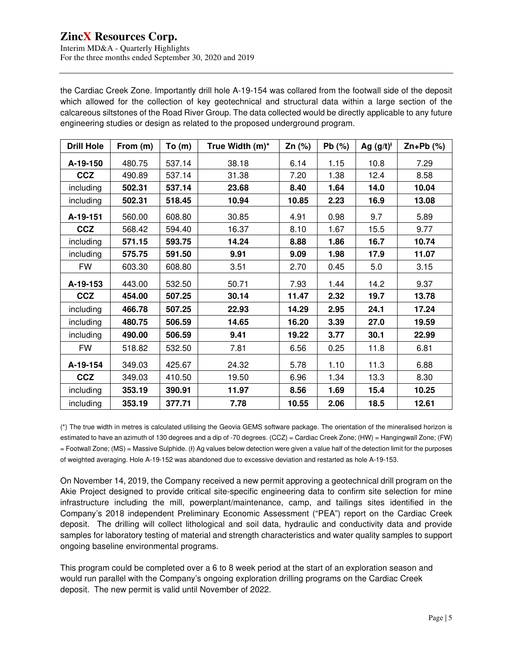Interim MD&A - Quarterly Highlights For the three months ended September 30, 2020 and 2019

the Cardiac Creek Zone. Importantly drill hole A-19-154 was collared from the footwall side of the deposit which allowed for the collection of key geotechnical and structural data within a large section of the calcareous siltstones of the Road River Group. The data collected would be directly applicable to any future engineering studies or design as related to the proposed underground program.

| <b>Drill Hole</b> | From (m) | To(m)  | True Width (m)* | Zn (%) | $Pb$ (%) | Ag $(g/t)^t$ | $Zn+Pb$ (%) |
|-------------------|----------|--------|-----------------|--------|----------|--------------|-------------|
| A-19-150          | 480.75   | 537.14 | 38.18           | 6.14   | 1.15     | 10.8         | 7.29        |
| <b>CCZ</b>        | 490.89   | 537.14 | 31.38           | 7.20   | 1.38     | 12.4         | 8.58        |
| including         | 502.31   | 537.14 | 23.68           | 8.40   | 1.64     | 14.0         | 10.04       |
| including         | 502.31   | 518.45 | 10.94           | 10.85  | 2.23     | 16.9         | 13.08       |
| A-19-151          | 560.00   | 608.80 | 30.85           | 4.91   | 0.98     | 9.7          | 5.89        |
| <b>CCZ</b>        | 568.42   | 594.40 | 16.37           | 8.10   | 1.67     | 15.5         | 9.77        |
| including         | 571.15   | 593.75 | 14.24           | 8.88   | 1.86     | 16.7         | 10.74       |
| including         | 575.75   | 591.50 | 9.91            | 9.09   | 1.98     | 17.9         | 11.07       |
| <b>FW</b>         | 603.30   | 608.80 | 3.51            | 2.70   | 0.45     | 5.0          | 3.15        |
| A-19-153          | 443.00   | 532.50 | 50.71           | 7.93   | 1.44     | 14.2         | 9.37        |
| <b>CCZ</b>        | 454.00   | 507.25 | 30.14           | 11.47  | 2.32     | 19.7         | 13.78       |
| including         | 466.78   | 507.25 | 22.93           | 14.29  | 2.95     | 24.1         | 17.24       |
| including         | 480.75   | 506.59 | 14.65           | 16.20  | 3.39     | 27.0         | 19.59       |
| including         | 490.00   | 506.59 | 9.41            | 19.22  | 3.77     | 30.1         | 22.99       |
| <b>FW</b>         | 518.82   | 532.50 | 7.81            | 6.56   | 0.25     | 11.8         | 6.81        |
| A-19-154          | 349.03   | 425.67 | 24.32           | 5.78   | 1.10     | 11.3         | 6.88        |
| <b>CCZ</b>        | 349.03   | 410.50 | 19.50           | 6.96   | 1.34     | 13.3         | 8.30        |
| including         | 353.19   | 390.91 | 11.97           | 8.56   | 1.69     | 15.4         | 10.25       |
| including         | 353.19   | 377.71 | 7.78            | 10.55  | 2.06     | 18.5         | 12.61       |

(\*) The true width in metres is calculated utilising the Geovia GEMS software package. The orientation of the mineralised horizon is estimated to have an azimuth of 130 degrees and a dip of -70 degrees. (CCZ) = Cardiac Creek Zone; (HW) = Hangingwall Zone; (FW) = Footwall Zone; (MS) = Massive Sulphide. (Ɨ) Ag values below detection were given a value half of the detection limit for the purposes of weighted averaging. Hole A-19-152 was abandoned due to excessive deviation and restarted as hole A-19-153.

On November 14, 2019, the Company received a new permit approving a geotechnical drill program on the Akie Project designed to provide critical site-specific engineering data to confirm site selection for mine infrastructure including the mill, powerplant/maintenance, camp, and tailings sites identified in the Company's 2018 independent Preliminary Economic Assessment ("PEA") report on the Cardiac Creek deposit. The drilling will collect lithological and soil data, hydraulic and conductivity data and provide samples for laboratory testing of material and strength characteristics and water quality samples to support ongoing baseline environmental programs.

This program could be completed over a 6 to 8 week period at the start of an exploration season and would run parallel with the Company's ongoing exploration drilling programs on the Cardiac Creek deposit. The new permit is valid until November of 2022.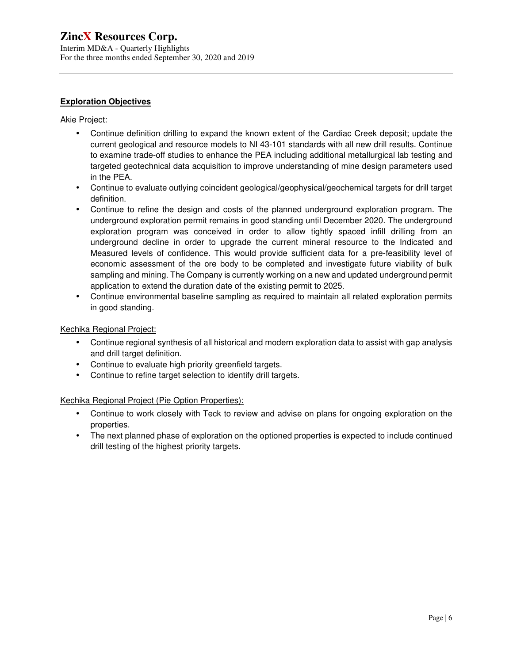Interim MD&A - Quarterly Highlights For the three months ended September 30, 2020 and 2019

## **Exploration Objectives**

#### Akie Project:

- Continue definition drilling to expand the known extent of the Cardiac Creek deposit; update the current geological and resource models to NI 43-101 standards with all new drill results. Continue to examine trade-off studies to enhance the PEA including additional metallurgical lab testing and targeted geotechnical data acquisition to improve understanding of mine design parameters used in the PEA.
- Continue to evaluate outlying coincident geological/geophysical/geochemical targets for drill target definition.
- Continue to refine the design and costs of the planned underground exploration program. The underground exploration permit remains in good standing until December 2020. The underground exploration program was conceived in order to allow tightly spaced infill drilling from an underground decline in order to upgrade the current mineral resource to the Indicated and Measured levels of confidence. This would provide sufficient data for a pre-feasibility level of economic assessment of the ore body to be completed and investigate future viability of bulk sampling and mining. The Company is currently working on a new and updated underground permit application to extend the duration date of the existing permit to 2025.
- Continue environmental baseline sampling as required to maintain all related exploration permits in good standing.

## Kechika Regional Project:

- Continue regional synthesis of all historical and modern exploration data to assist with gap analysis and drill target definition.
- Continue to evaluate high priority greenfield targets.
- Continue to refine target selection to identify drill targets.

## Kechika Regional Project (Pie Option Properties):

- Continue to work closely with Teck to review and advise on plans for ongoing exploration on the properties.
- The next planned phase of exploration on the optioned properties is expected to include continued drill testing of the highest priority targets.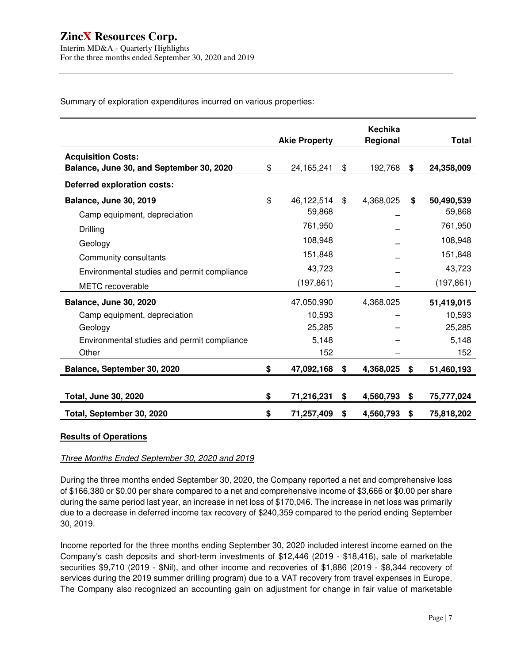Summary of exploration expenditures incurred on various properties:

|                                             |                      | <b>Kechika</b>  |                  |
|---------------------------------------------|----------------------|-----------------|------------------|
|                                             | <b>Akie Property</b> | Regional        | <b>Total</b>     |
| <b>Acquisition Costs:</b>                   |                      |                 |                  |
| Balance, June 30, and September 30, 2020    | \$<br>24,165,241     | \$<br>192,768   | \$<br>24,358,009 |
| Deferred exploration costs:                 |                      |                 |                  |
| <b>Balance, June 30, 2019</b>               | \$<br>46,122,514     | \$<br>4,368,025 | \$<br>50,490,539 |
| Camp equipment, depreciation                | 59,868               |                 | 59,868           |
| Drilling                                    | 761,950              |                 | 761,950          |
| Geology                                     | 108,948              |                 | 108,948          |
| Community consultants                       | 151,848              |                 | 151,848          |
| Environmental studies and permit compliance | 43,723               |                 | 43,723           |
| <b>METC</b> recoverable                     | (197, 861)           |                 | (197, 861)       |
| Balance, June 30, 2020                      | 47,050,990           | 4,368,025       | 51,419,015       |
| Camp equipment, depreciation                | 10,593               |                 | 10,593           |
| Geology                                     | 25,285               |                 | 25,285           |
| Environmental studies and permit compliance | 5,148                |                 | 5,148            |
| Other                                       | 152                  |                 | 152              |
| Balance, September 30, 2020                 | \$<br>47,092,168     | \$<br>4,368,025 | \$<br>51,460,193 |
|                                             |                      |                 |                  |
| <b>Total, June 30, 2020</b>                 | \$<br>71,216,231     | \$<br>4,560,793 | \$<br>75,777,024 |
| Total, September 30, 2020                   | \$<br>71,257,409     | \$<br>4,560,793 | \$<br>75,818,202 |

#### **Results of Operations**

#### Three Months Ended September 30, 2020 and 2019

During the three months ended September 30, 2020, the Company reported a net and comprehensive loss of \$166,380 or \$0.00 per share compared to a net and comprehensive income of \$3,666 or \$0.00 per share during the same period last year, an increase in net loss of \$170,046. The increase in net loss was primarily due to a decrease in deferred income tax recovery of \$240,359 compared to the period ending September 30, 2019.

Income reported for the three months ending September 30, 2020 included interest income earned on the Company's cash deposits and short-term investments of \$12,446 (2019 - \$18,416), sale of marketable securities \$9,710 (2019 - \$Nil), and other income and recoveries of \$1,886 (2019 - \$8,344 recovery of services during the 2019 summer drilling program) due to a VAT recovery from travel expenses in Europe. The Company also recognized an accounting gain on adjustment for change in fair value of marketable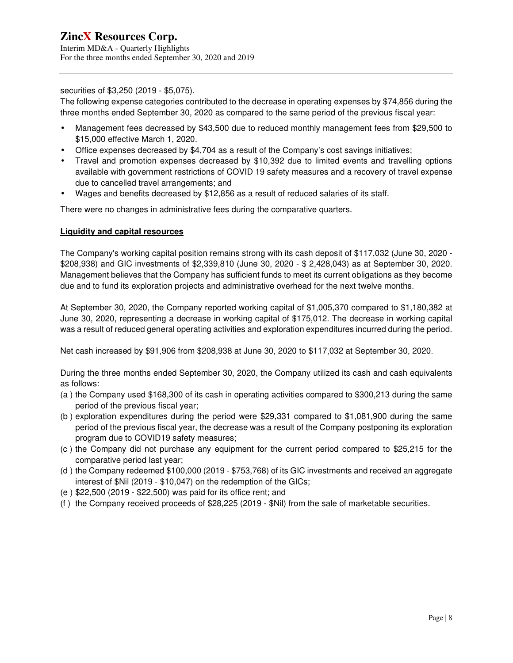securities of \$3,250 (2019 - \$5,075).

The following expense categories contributed to the decrease in operating expenses by \$74,856 during the three months ended September 30, 2020 as compared to the same period of the previous fiscal year:

- Management fees decreased by \$43,500 due to reduced monthly management fees from \$29,500 to \$15,000 effective March 1, 2020.
- Office expenses decreased by \$4,704 as a result of the Company's cost savings initiatives;
- Travel and promotion expenses decreased by \$10,392 due to limited events and travelling options available with government restrictions of COVID 19 safety measures and a recovery of travel expense due to cancelled travel arrangements; and
- Wages and benefits decreased by \$12,856 as a result of reduced salaries of its staff.

There were no changes in administrative fees during the comparative quarters.

## **Liquidity and capital resources**

The Company's working capital position remains strong with its cash deposit of \$117,032 (June 30, 2020 - \$208,938) and GIC investments of \$2,339,810 (June 30, 2020 - \$ 2,428,043) as at September 30, 2020. Management believes that the Company has sufficient funds to meet its current obligations as they become due and to fund its exploration projects and administrative overhead for the next twelve months.

At September 30, 2020, the Company reported working capital of \$1,005,370 compared to \$1,180,382 at June 30, 2020, representing a decrease in working capital of \$175,012. The decrease in working capital was a result of reduced general operating activities and exploration expenditures incurred during the period.

Net cash increased by \$91,906 from \$208,938 at June 30, 2020 to \$117,032 at September 30, 2020.

During the three months ended September 30, 2020, the Company utilized its cash and cash equivalents as follows:

- (a ) the Company used \$168,300 of its cash in operating activities compared to \$300,213 during the same period of the previous fiscal year;
- (b ) exploration expenditures during the period were \$29,331 compared to \$1,081,900 during the same period of the previous fiscal year, the decrease was a result of the Company postponing its exploration program due to COVID19 safety measures;
- (c ) the Company did not purchase any equipment for the current period compared to \$25,215 for the comparative period last year;
- (d ) the Company redeemed \$100,000 (2019 \$753,768) of its GIC investments and received an aggregate interest of \$Nil (2019 - \$10,047) on the redemption of the GICs;
- (e ) \$22,500 (2019 \$22,500) was paid for its office rent; and
- (f ) the Company received proceeds of \$28,225 (2019 \$Nil) from the sale of marketable securities.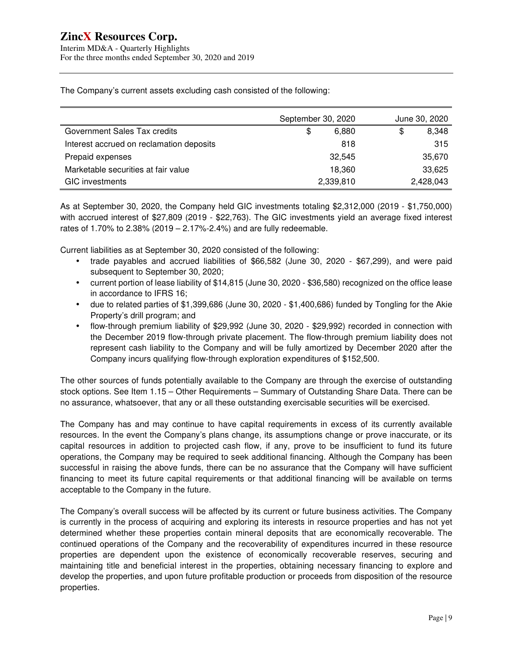Interim MD&A - Quarterly Highlights For the three months ended September 30, 2020 and 2019

The Company's current assets excluding cash consisted of the following:

|                                          | September 30, 2020 | June 30, 2020 |
|------------------------------------------|--------------------|---------------|
| Government Sales Tax credits             | \$<br>6,880        | 8,348<br>\$   |
| Interest accrued on reclamation deposits | 818                | 315           |
| Prepaid expenses                         | 32.545             | 35,670        |
| Marketable securities at fair value      | 18.360             | 33,625        |
| <b>GIC</b> investments                   | 2,339,810          | 2,428,043     |

As at September 30, 2020, the Company held GIC investments totaling \$2,312,000 (2019 - \$1,750,000) with accrued interest of \$27,809 (2019 - \$22,763). The GIC investments yield an average fixed interest rates of 1.70% to 2.38% (2019 – 2.17%-2.4%) and are fully redeemable.

Current liabilities as at September 30, 2020 consisted of the following:

- trade payables and accrued liabilities of \$66,582 (June 30, 2020 \$67,299), and were paid subsequent to September 30, 2020;
- current portion of lease liability of \$14,815 (June 30, 2020 \$36,580) recognized on the office lease in accordance to IFRS 16;
- due to related parties of \$1,399,686 (June 30, 2020 \$1,400,686) funded by Tongling for the Akie Property's drill program; and
- flow-through premium liability of \$29,992 (June 30, 2020 \$29,992) recorded in connection with the December 2019 flow-through private placement. The flow-through premium liability does not represent cash liability to the Company and will be fully amortized by December 2020 after the Company incurs qualifying flow-through exploration expenditures of \$152,500.

The other sources of funds potentially available to the Company are through the exercise of outstanding stock options. See Item 1.15 – Other Requirements – Summary of Outstanding Share Data. There can be no assurance, whatsoever, that any or all these outstanding exercisable securities will be exercised.

The Company has and may continue to have capital requirements in excess of its currently available resources. In the event the Company's plans change, its assumptions change or prove inaccurate, or its capital resources in addition to projected cash flow, if any, prove to be insufficient to fund its future operations, the Company may be required to seek additional financing. Although the Company has been successful in raising the above funds, there can be no assurance that the Company will have sufficient financing to meet its future capital requirements or that additional financing will be available on terms acceptable to the Company in the future.

The Company's overall success will be affected by its current or future business activities. The Company is currently in the process of acquiring and exploring its interests in resource properties and has not yet determined whether these properties contain mineral deposits that are economically recoverable. The continued operations of the Company and the recoverability of expenditures incurred in these resource properties are dependent upon the existence of economically recoverable reserves, securing and maintaining title and beneficial interest in the properties, obtaining necessary financing to explore and develop the properties, and upon future profitable production or proceeds from disposition of the resource properties.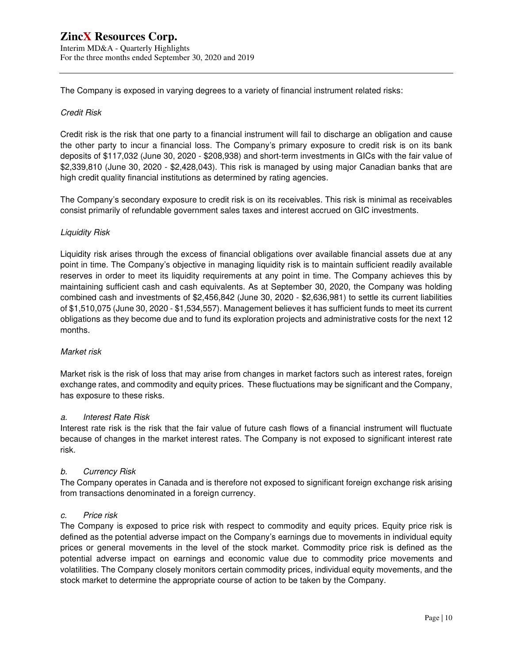The Company is exposed in varying degrees to a variety of financial instrument related risks:

#### Credit Risk

Credit risk is the risk that one party to a financial instrument will fail to discharge an obligation and cause the other party to incur a financial loss. The Company's primary exposure to credit risk is on its bank deposits of \$117,032 (June 30, 2020 - \$208,938) and short-term investments in GICs with the fair value of \$2,339,810 (June 30, 2020 - \$2,428,043). This risk is managed by using major Canadian banks that are high credit quality financial institutions as determined by rating agencies.

The Company's secondary exposure to credit risk is on its receivables. This risk is minimal as receivables consist primarily of refundable government sales taxes and interest accrued on GIC investments.

## Liquidity Risk

Liquidity risk arises through the excess of financial obligations over available financial assets due at any point in time. The Company's objective in managing liquidity risk is to maintain sufficient readily available reserves in order to meet its liquidity requirements at any point in time. The Company achieves this by maintaining sufficient cash and cash equivalents. As at September 30, 2020, the Company was holding combined cash and investments of \$2,456,842 (June 30, 2020 - \$2,636,981) to settle its current liabilities of \$1,510,075 (June 30, 2020 - \$1,534,557). Management believes it has sufficient funds to meet its current obligations as they become due and to fund its exploration projects and administrative costs for the next 12 months.

#### Market risk

Market risk is the risk of loss that may arise from changes in market factors such as interest rates, foreign exchange rates, and commodity and equity prices. These fluctuations may be significant and the Company, has exposure to these risks.

#### a. Interest Rate Risk

Interest rate risk is the risk that the fair value of future cash flows of a financial instrument will fluctuate because of changes in the market interest rates. The Company is not exposed to significant interest rate risk.

#### b. Currency Risk

The Company operates in Canada and is therefore not exposed to significant foreign exchange risk arising from transactions denominated in a foreign currency.

#### c. Price risk

The Company is exposed to price risk with respect to commodity and equity prices. Equity price risk is defined as the potential adverse impact on the Company's earnings due to movements in individual equity prices or general movements in the level of the stock market. Commodity price risk is defined as the potential adverse impact on earnings and economic value due to commodity price movements and volatilities. The Company closely monitors certain commodity prices, individual equity movements, and the stock market to determine the appropriate course of action to be taken by the Company.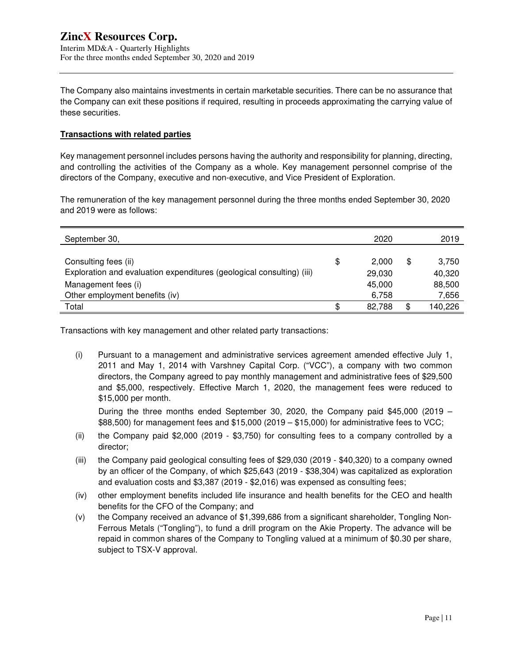The Company also maintains investments in certain marketable securities. There can be no assurance that the Company can exit these positions if required, resulting in proceeds approximating the carrying value of these securities.

#### **Transactions with related parties**

Key management personnel includes persons having the authority and responsibility for planning, directing, and controlling the activities of the Company as a whole. Key management personnel comprise of the directors of the Company, executive and non-executive, and Vice President of Exploration.

The remuneration of the key management personnel during the three months ended September 30, 2020 and 2019 were as follows:

| September 30,                                                         |    | 2020   | 2019          |
|-----------------------------------------------------------------------|----|--------|---------------|
|                                                                       |    |        |               |
| Consulting fees (ii)                                                  | \$ | 2.000  | \$<br>3,750   |
| Exploration and evaluation expenditures (geological consulting) (iii) |    | 29,030 | 40,320        |
| Management fees (i)                                                   |    | 45,000 | 88,500        |
| Other employment benefits (iv)                                        |    | 6,758  | 7,656         |
| Total                                                                 | ß. | 82.788 | \$<br>140,226 |

Transactions with key management and other related party transactions:

(i) Pursuant to a management and administrative services agreement amended effective July 1, 2011 and May 1, 2014 with Varshney Capital Corp. ("VCC"), a company with two common directors, the Company agreed to pay monthly management and administrative fees of \$29,500 and \$5,000, respectively. Effective March 1, 2020, the management fees were reduced to \$15,000 per month.

During the three months ended September 30, 2020, the Company paid \$45,000 (2019 – \$88,500) for management fees and \$15,000 (2019 – \$15,000) for administrative fees to VCC;

- (ii) the Company paid \$2,000 (2019 \$3,750) for consulting fees to a company controlled by a director;
- (iii) the Company paid geological consulting fees of \$29,030 (2019 \$40,320) to a company owned by an officer of the Company, of which \$25,643 (2019 - \$38,304) was capitalized as exploration and evaluation costs and \$3,387 (2019 - \$2,016) was expensed as consulting fees;
- (iv) other employment benefits included life insurance and health benefits for the CEO and health benefits for the CFO of the Company; and
- (v) the Company received an advance of \$1,399,686 from a significant shareholder, Tongling Non-Ferrous Metals ("Tongling"), to fund a drill program on the Akie Property. The advance will be repaid in common shares of the Company to Tongling valued at a minimum of \$0.30 per share, subject to TSX-V approval.